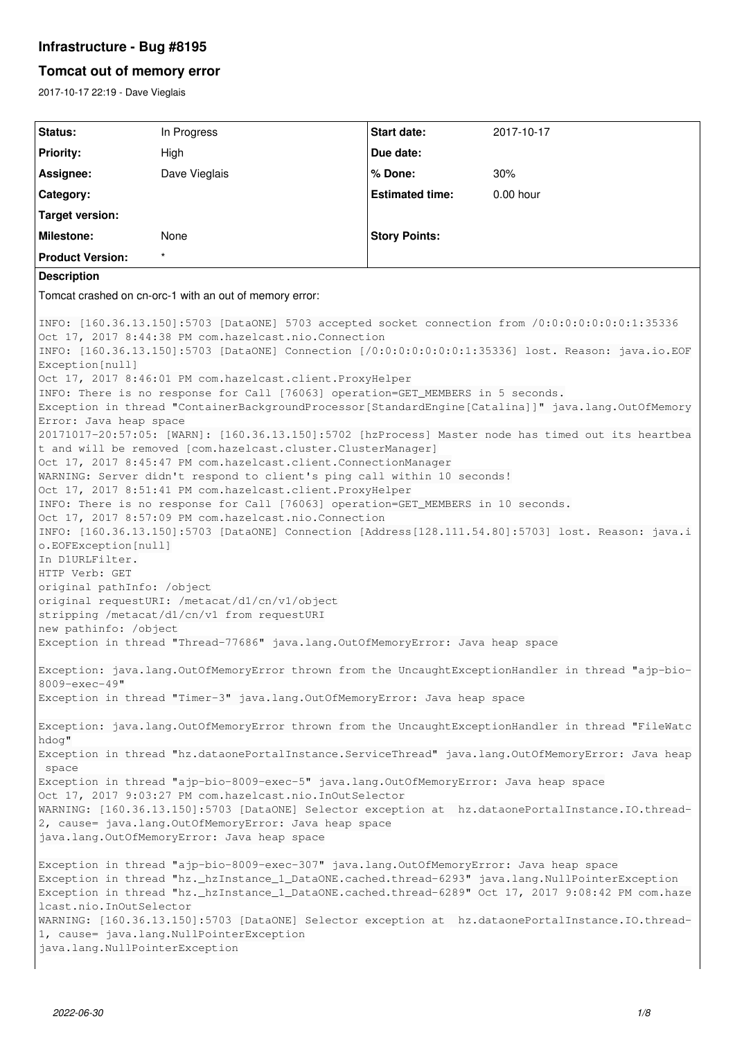# **Infrastructure - Bug #8195**

# **Tomcat out of memory error**

2017-10-17 22:19 - Dave Vieglais

| Status:                                                                                                                                                                                                                                                                                                                                                                                                                                                                                                                                                                                                                                                                                                                                                                                                                                                                                                                                                                                                                                                                                                                                                                                                                                                                                                                                                                                                                                                                                                    | In Progress   | <b>Start date:</b>     | 2017-10-17  |
|------------------------------------------------------------------------------------------------------------------------------------------------------------------------------------------------------------------------------------------------------------------------------------------------------------------------------------------------------------------------------------------------------------------------------------------------------------------------------------------------------------------------------------------------------------------------------------------------------------------------------------------------------------------------------------------------------------------------------------------------------------------------------------------------------------------------------------------------------------------------------------------------------------------------------------------------------------------------------------------------------------------------------------------------------------------------------------------------------------------------------------------------------------------------------------------------------------------------------------------------------------------------------------------------------------------------------------------------------------------------------------------------------------------------------------------------------------------------------------------------------------|---------------|------------------------|-------------|
| <b>Priority:</b>                                                                                                                                                                                                                                                                                                                                                                                                                                                                                                                                                                                                                                                                                                                                                                                                                                                                                                                                                                                                                                                                                                                                                                                                                                                                                                                                                                                                                                                                                           | High          | Due date:              |             |
| Assignee:                                                                                                                                                                                                                                                                                                                                                                                                                                                                                                                                                                                                                                                                                                                                                                                                                                                                                                                                                                                                                                                                                                                                                                                                                                                                                                                                                                                                                                                                                                  | Dave Vieglais | % Done:                | 30%         |
| Category:                                                                                                                                                                                                                                                                                                                                                                                                                                                                                                                                                                                                                                                                                                                                                                                                                                                                                                                                                                                                                                                                                                                                                                                                                                                                                                                                                                                                                                                                                                  |               | <b>Estimated time:</b> | $0.00$ hour |
| <b>Target version:</b>                                                                                                                                                                                                                                                                                                                                                                                                                                                                                                                                                                                                                                                                                                                                                                                                                                                                                                                                                                                                                                                                                                                                                                                                                                                                                                                                                                                                                                                                                     |               |                        |             |
| <b>Milestone:</b>                                                                                                                                                                                                                                                                                                                                                                                                                                                                                                                                                                                                                                                                                                                                                                                                                                                                                                                                                                                                                                                                                                                                                                                                                                                                                                                                                                                                                                                                                          | None          | <b>Story Points:</b>   |             |
| <b>Product Version:</b>                                                                                                                                                                                                                                                                                                                                                                                                                                                                                                                                                                                                                                                                                                                                                                                                                                                                                                                                                                                                                                                                                                                                                                                                                                                                                                                                                                                                                                                                                    | $\star$       |                        |             |
| <b>Description</b>                                                                                                                                                                                                                                                                                                                                                                                                                                                                                                                                                                                                                                                                                                                                                                                                                                                                                                                                                                                                                                                                                                                                                                                                                                                                                                                                                                                                                                                                                         |               |                        |             |
| Tomcat crashed on cn-orc-1 with an out of memory error:                                                                                                                                                                                                                                                                                                                                                                                                                                                                                                                                                                                                                                                                                                                                                                                                                                                                                                                                                                                                                                                                                                                                                                                                                                                                                                                                                                                                                                                    |               |                        |             |
| INFO: [160.36.13.150]:5703 [DataONE] 5703 accepted socket connection from /0:0:0:0:0:0:0:1:35336<br>Oct 17, 2017 8:44:38 PM com.hazelcast.nio.Connection<br>INFO: [160.36.13.150]:5703 [DataONE] Connection [/0:0:0:0:0:0:0:0:1:35336] lost. Reason: java.io.EOF<br>Exception [null]<br>Oct 17, 2017 8:46:01 PM com.hazelcast.client.ProxyHelper<br>INFO: There is no response for Call [76063] operation=GET_MEMBERS in 5 seconds.<br>Exception in thread "ContainerBackgroundProcessor[StandardEngine[Catalina]]" java.lang.OutOfMemory<br>Error: Java heap space<br>20171017-20:57:05: [WARN]: [160.36.13.150]:5702 [hzProcess] Master node has timed out its heartbea<br>t and will be removed [com.hazelcast.cluster.ClusterManager]<br>Oct 17, 2017 8:45:47 PM com.hazelcast.client.ConnectionManager<br>WARNING: Server didn't respond to client's ping call within 10 seconds!<br>Oct 17, 2017 8:51:41 PM com.hazelcast.client.ProxyHelper<br>INFO: There is no response for Call [76063] operation=GET_MEMBERS in 10 seconds.<br>Oct 17, 2017 8:57:09 PM com.hazelcast.nio.Connection<br>INFO: [160.36.13.150]:5703 [DataONE] Connection [Address[128.111.54.80]:5703] lost. Reason: java.i<br>o.EOFException[null]<br>In D1URLFilter.<br>HTTP Verb: GET<br>original pathInfo: /object<br>original requestURI: /metacat/d1/cn/v1/object<br>stripping /metacat/d1/cn/v1 from requestURI<br>new pathinfo: /object<br>Exception in thread "Thread-77686" java.lang.OutOfMemoryError: Java heap space |               |                        |             |
| Exception: java.lang.OutOfMemoryError thrown from the UncaughtExceptionHandler in thread "ajp-bio-<br>8009-exec-49"                                                                                                                                                                                                                                                                                                                                                                                                                                                                                                                                                                                                                                                                                                                                                                                                                                                                                                                                                                                                                                                                                                                                                                                                                                                                                                                                                                                        |               |                        |             |
| Exception in thread "Timer-3" java.lang.OutOfMemoryError: Java heap space                                                                                                                                                                                                                                                                                                                                                                                                                                                                                                                                                                                                                                                                                                                                                                                                                                                                                                                                                                                                                                                                                                                                                                                                                                                                                                                                                                                                                                  |               |                        |             |
| Exception: java.lang.OutOfMemoryError thrown from the UncaughtExceptionHandler in thread "FileWatc<br>hdog"                                                                                                                                                                                                                                                                                                                                                                                                                                                                                                                                                                                                                                                                                                                                                                                                                                                                                                                                                                                                                                                                                                                                                                                                                                                                                                                                                                                                |               |                        |             |
| Exception in thread "hz.dataonePortalInstance.ServiceThread" java.lang.OutOfMemoryError: Java heap<br>space                                                                                                                                                                                                                                                                                                                                                                                                                                                                                                                                                                                                                                                                                                                                                                                                                                                                                                                                                                                                                                                                                                                                                                                                                                                                                                                                                                                                |               |                        |             |
| Exception in thread "ajp-bio-8009-exec-5" java.lang.OutOfMemoryError: Java heap space<br>Oct 17, 2017 9:03:27 PM com.hazelcast.nio.InOutSelector                                                                                                                                                                                                                                                                                                                                                                                                                                                                                                                                                                                                                                                                                                                                                                                                                                                                                                                                                                                                                                                                                                                                                                                                                                                                                                                                                           |               |                        |             |
| WARNING: [160.36.13.150]:5703 [DataONE] Selector exception at hz.dataonePortalInstance.IO.thread-<br>2, cause= java.lang.OutOfMemoryError: Java heap space                                                                                                                                                                                                                                                                                                                                                                                                                                                                                                                                                                                                                                                                                                                                                                                                                                                                                                                                                                                                                                                                                                                                                                                                                                                                                                                                                 |               |                        |             |
| java.lang.OutOfMemoryError: Java heap space                                                                                                                                                                                                                                                                                                                                                                                                                                                                                                                                                                                                                                                                                                                                                                                                                                                                                                                                                                                                                                                                                                                                                                                                                                                                                                                                                                                                                                                                |               |                        |             |
| Exception in thread "ajp-bio-8009-exec-307" java.lang.OutOfMemoryError: Java heap space<br>Exception in thread "hz._hzInstance_1_DataONE.cached.thread-6293" java.lang.NullPointerException<br>Exception in thread "hz._hzInstance_1_DataONE.cached.thread-6289" Oct 17, 2017 9:08:42 PM com.haze<br>lcast.nio.InOutSelector<br>WARNING: [160.36.13.150]:5703 [DataONE] Selector exception at hz.dataonePortalInstance.IO.thread-<br>1, cause= java.lang.NullPointerException<br>java.lang.NullPointerException                                                                                                                                                                                                                                                                                                                                                                                                                                                                                                                                                                                                                                                                                                                                                                                                                                                                                                                                                                                            |               |                        |             |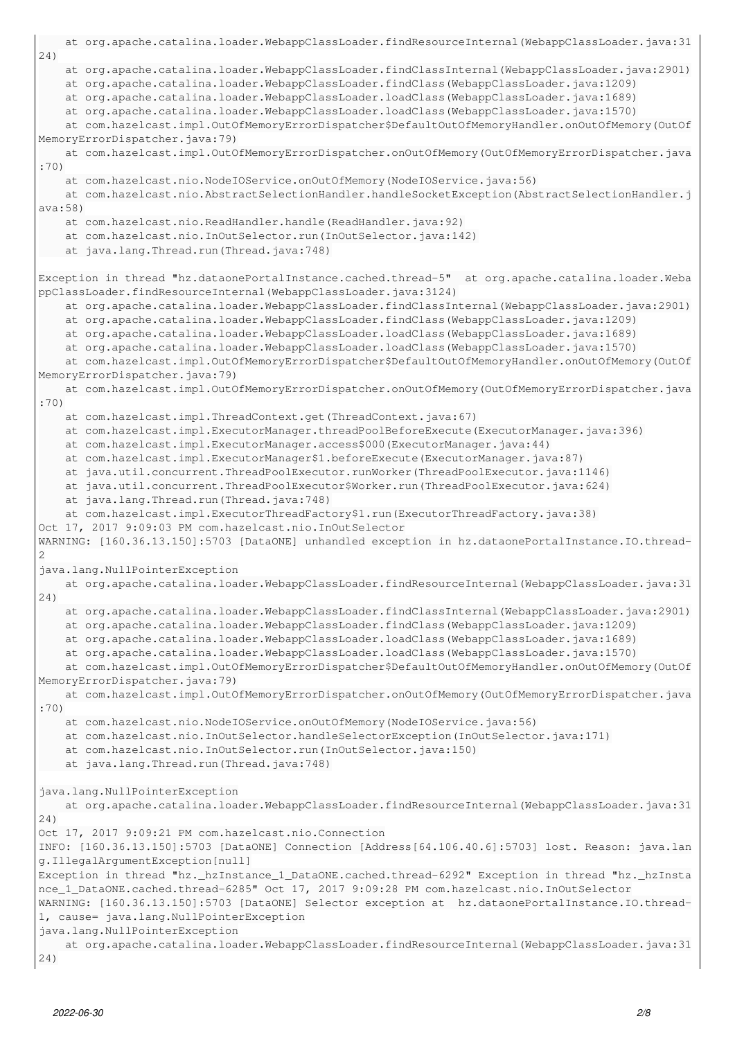```
    at org.apache.catalina.loader.WebappClassLoader.findResourceInternal(WebappClassLoader.java:31
24)
        at org.apache.catalina.loader.WebappClassLoader.findClassInternal(WebappClassLoader.java:2901)
        at org.apache.catalina.loader.WebappClassLoader.findClass(WebappClassLoader.java:1209)
        at org.apache.catalina.loader.WebappClassLoader.loadClass(WebappClassLoader.java:1689)
        at org.apache.catalina.loader.WebappClassLoader.loadClass(WebappClassLoader.java:1570)
        at com.hazelcast.impl.OutOfMemoryErrorDispatcher$DefaultOutOfMemoryHandler.onOutOfMemory(OutOf
MemoryErrorDispatcher.java:79)
        at com.hazelcast.impl.OutOfMemoryErrorDispatcher.onOutOfMemory(OutOfMemoryErrorDispatcher.java
:70)
        at com.hazelcast.nio.NodeIOService.onOutOfMemory(NodeIOService.java:56)
        at com.hazelcast.nio.AbstractSelectionHandler.handleSocketException(AbstractSelectionHandler.j
ava:58)
        at com.hazelcast.nio.ReadHandler.handle(ReadHandler.java:92)
        at com.hazelcast.nio.InOutSelector.run(InOutSelector.java:142)
       at java.lang.Thread.run(Thread.java:748)
Exception in thread "hz.dataonePortalInstance.cached.thread-5"  at org.apache.catalina.loader.Weba
ppClassLoader.findResourceInternal(WebappClassLoader.java:3124)
        at org.apache.catalina.loader.WebappClassLoader.findClassInternal(WebappClassLoader.java:2901)
        at org.apache.catalina.loader.WebappClassLoader.findClass(WebappClassLoader.java:1209)
        at org.apache.catalina.loader.WebappClassLoader.loadClass(WebappClassLoader.java:1689)
        at org.apache.catalina.loader.WebappClassLoader.loadClass(WebappClassLoader.java:1570)
        at com.hazelcast.impl.OutOfMemoryErrorDispatcher$DefaultOutOfMemoryHandler.onOutOfMemory(OutOf
MemoryErrorDispatcher.java:79)
    at com.hazelcast.impl.OutOfMemoryErrorDispatcher.onOutOfMemory(OutOfMemoryErrorDispatcher.java
:70)
        at com.hazelcast.impl.ThreadContext.get(ThreadContext.java:67)
        at com.hazelcast.impl.ExecutorManager.threadPoolBeforeExecute(ExecutorManager.java:396)
        at com.hazelcast.impl.ExecutorManager.access$000(ExecutorManager.java:44)
        at com.hazelcast.impl.ExecutorManager$1.beforeExecute(ExecutorManager.java:87)
        at java.util.concurrent.ThreadPoolExecutor.runWorker(ThreadPoolExecutor.java:1146)
        at java.util.concurrent.ThreadPoolExecutor$Worker.run(ThreadPoolExecutor.java:624)
        at java.lang.Thread.run(Thread.java:748)
        at com.hazelcast.impl.ExecutorThreadFactory$1.run(ExecutorThreadFactory.java:38)
Oct 17, 2017 9:09:03 PM com.hazelcast.nio.InOutSelector
WARNING: [160.36.13.150]:5703 [DataONE] unhandled exception in hz.dataonePortalInstance.IO.thread-
2
java.lang.NullPointerException
        at org.apache.catalina.loader.WebappClassLoader.findResourceInternal(WebappClassLoader.java:31
24)
        at org.apache.catalina.loader.WebappClassLoader.findClassInternal(WebappClassLoader.java:2901)
        at org.apache.catalina.loader.WebappClassLoader.findClass(WebappClassLoader.java:1209)
        at org.apache.catalina.loader.WebappClassLoader.loadClass(WebappClassLoader.java:1689)
        at org.apache.catalina.loader.WebappClassLoader.loadClass(WebappClassLoader.java:1570)
        at com.hazelcast.impl.OutOfMemoryErrorDispatcher$DefaultOutOfMemoryHandler.onOutOfMemory(OutOf
MemoryErrorDispatcher.java:79)
        at com.hazelcast.impl.OutOfMemoryErrorDispatcher.onOutOfMemory(OutOfMemoryErrorDispatcher.java
:70)
        at com.hazelcast.nio.NodeIOService.onOutOfMemory(NodeIOService.java:56)
        at com.hazelcast.nio.InOutSelector.handleSelectorException(InOutSelector.java:171)
        at com.hazelcast.nio.InOutSelector.run(InOutSelector.java:150)
        at java.lang.Thread.run(Thread.java:748)
java.lang.NullPointerException
        at org.apache.catalina.loader.WebappClassLoader.findResourceInternal(WebappClassLoader.java:31
24)
Oct 17, 2017 9:09:21 PM com.hazelcast.nio.Connection
INFO: [160.36.13.150]:5703 [DataONE] Connection [Address[64.106.40.6]:5703] lost. Reason: java.lan
g.IllegalArgumentException[null]
Exception in thread "hz._hzInstance_1_DataONE.cached.thread-6292" Exception in thread "hz._hzInsta
nce_1_DataONE.cached.thread-6285" Oct 17, 2017 9:09:28 PM com.hazelcast.nio.InOutSelector
WARNING: [160.36.13.150]:5703 [DataONE] Selector exception at  hz.dataonePortalInstance.IO.thread-
1, cause= java.lang.NullPointerException
java.lang.NullPointerException
        at org.apache.catalina.loader.WebappClassLoader.findResourceInternal(WebappClassLoader.java:31
24)
```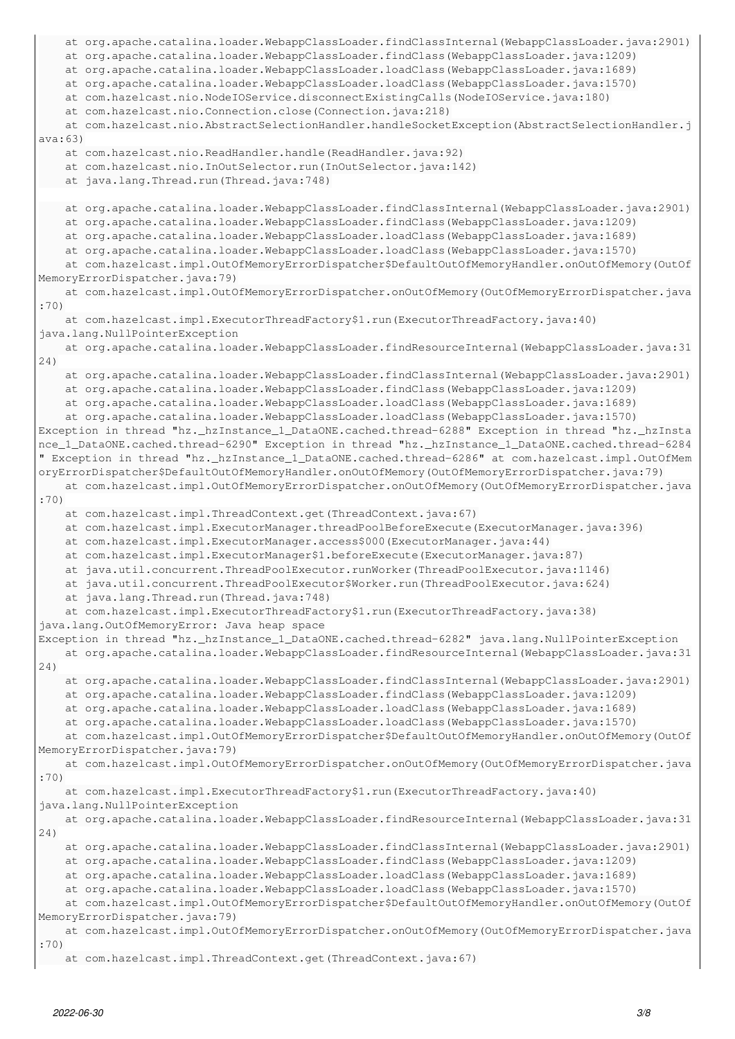```
    at org.apache.catalina.loader.WebappClassLoader.findClassInternal(WebappClassLoader.java:2901)
        at org.apache.catalina.loader.WebappClassLoader.findClass(WebappClassLoader.java:1209)
        at org.apache.catalina.loader.WebappClassLoader.loadClass(WebappClassLoader.java:1689)
        at org.apache.catalina.loader.WebappClassLoader.loadClass(WebappClassLoader.java:1570)
        at com.hazelcast.nio.NodeIOService.disconnectExistingCalls(NodeIOService.java:180)
        at com.hazelcast.nio.Connection.close(Connection.java:218)
        at com.hazelcast.nio.AbstractSelectionHandler.handleSocketException(AbstractSelectionHandler.j
ava:63)
        at com.hazelcast.nio.ReadHandler.handle(ReadHandler.java:92)
        at com.hazelcast.nio.InOutSelector.run(InOutSelector.java:142)
        at java.lang.Thread.run(Thread.java:748)
        at org.apache.catalina.loader.WebappClassLoader.findClassInternal(WebappClassLoader.java:2901)
        at org.apache.catalina.loader.WebappClassLoader.findClass(WebappClassLoader.java:1209)
        at org.apache.catalina.loader.WebappClassLoader.loadClass(WebappClassLoader.java:1689)
        at org.apache.catalina.loader.WebappClassLoader.loadClass(WebappClassLoader.java:1570)
        at com.hazelcast.impl.OutOfMemoryErrorDispatcher$DefaultOutOfMemoryHandler.onOutOfMemory(OutOf
MemoryErrorDispatcher.java:79)
        at com.hazelcast.impl.OutOfMemoryErrorDispatcher.onOutOfMemory(OutOfMemoryErrorDispatcher.java
:70)
        at com.hazelcast.impl.ExecutorThreadFactory$1.run(ExecutorThreadFactory.java:40)
java.lang.NullPointerException
        at org.apache.catalina.loader.WebappClassLoader.findResourceInternal(WebappClassLoader.java:31
24)
        at org.apache.catalina.loader.WebappClassLoader.findClassInternal(WebappClassLoader.java:2901)
        at org.apache.catalina.loader.WebappClassLoader.findClass(WebappClassLoader.java:1209)
        at org.apache.catalina.loader.WebappClassLoader.loadClass(WebappClassLoader.java:1689)
        at org.apache.catalina.loader.WebappClassLoader.loadClass(WebappClassLoader.java:1570)
Exception in thread "hz._hzInstance_1_DataONE.cached.thread-6288" Exception in thread "hz._hzInsta
nce_1_DataONE.cached.thread-6290" Exception in thread "hz._hzInstance_1_DataONE.cached.thread-6284
" Exception in thread "hz._hzInstance_1_DataONE.cached.thread-6286" at com.hazelcast.impl.OutOfMem
oryErrorDispatcher$DefaultOutOfMemoryHandler.onOutOfMemory(OutOfMemoryErrorDispatcher.java:79)
        at com.hazelcast.impl.OutOfMemoryErrorDispatcher.onOutOfMemory(OutOfMemoryErrorDispatcher.java
:70)
        at com.hazelcast.impl.ThreadContext.get(ThreadContext.java:67)
        at com.hazelcast.impl.ExecutorManager.threadPoolBeforeExecute(ExecutorManager.java:396)
        at com.hazelcast.impl.ExecutorManager.access$000(ExecutorManager.java:44)
        at com.hazelcast.impl.ExecutorManager$1.beforeExecute(ExecutorManager.java:87)
        at java.util.concurrent.ThreadPoolExecutor.runWorker(ThreadPoolExecutor.java:1146)
        at java.util.concurrent.ThreadPoolExecutor$Worker.run(ThreadPoolExecutor.java:624)
        at java.lang.Thread.run(Thread.java:748)
        at com.hazelcast.impl.ExecutorThreadFactory$1.run(ExecutorThreadFactory.java:38)
java.lang.OutOfMemoryError: Java heap space
Exception in thread "hz._hzInstance_1_DataONE.cached.thread-6282" java.lang.NullPointerException
        at org.apache.catalina.loader.WebappClassLoader.findResourceInternal(WebappClassLoader.java:31
24)
        at org.apache.catalina.loader.WebappClassLoader.findClassInternal(WebappClassLoader.java:2901)
        at org.apache.catalina.loader.WebappClassLoader.findClass(WebappClassLoader.java:1209)
        at org.apache.catalina.loader.WebappClassLoader.loadClass(WebappClassLoader.java:1689)
        at org.apache.catalina.loader.WebappClassLoader.loadClass(WebappClassLoader.java:1570)
        at com.hazelcast.impl.OutOfMemoryErrorDispatcher$DefaultOutOfMemoryHandler.onOutOfMemory(OutOf
MemoryErrorDispatcher.java:79)
    at com.hazelcast.impl.OutOfMemoryErrorDispatcher.onOutOfMemory(OutOfMemoryErrorDispatcher.java
:70)
        at com.hazelcast.impl.ExecutorThreadFactory$1.run(ExecutorThreadFactory.java:40)
java.lang.NullPointerException
        at org.apache.catalina.loader.WebappClassLoader.findResourceInternal(WebappClassLoader.java:31
24)
        at org.apache.catalina.loader.WebappClassLoader.findClassInternal(WebappClassLoader.java:2901)
        at org.apache.catalina.loader.WebappClassLoader.findClass(WebappClassLoader.java:1209)
        at org.apache.catalina.loader.WebappClassLoader.loadClass(WebappClassLoader.java:1689)
        at org.apache.catalina.loader.WebappClassLoader.loadClass(WebappClassLoader.java:1570)
        at com.hazelcast.impl.OutOfMemoryErrorDispatcher$DefaultOutOfMemoryHandler.onOutOfMemory(OutOf
MemoryErrorDispatcher.java:79)
    at com.hazelcast.impl.OutOfMemoryErrorDispatcher.onOutOfMemory(OutOfMemoryErrorDispatcher.java
:70)
        at com.hazelcast.impl.ThreadContext.get(ThreadContext.java:67)
```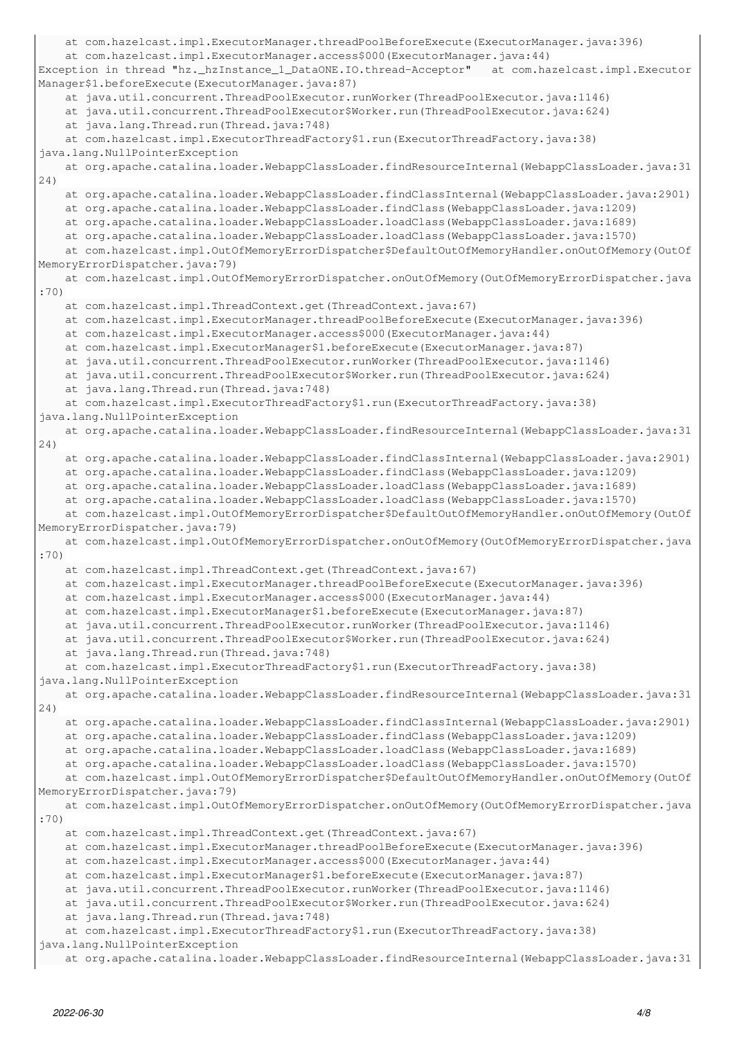```
    at com.hazelcast.impl.ExecutorManager.threadPoolBeforeExecute(ExecutorManager.java:396)
        at com.hazelcast.impl.ExecutorManager.access$000(ExecutorManager.java:44)
Exception in thread "hz._hzInstance_1_DataONE.IO.thread-Acceptor"   at com.hazelcast.impl.Executor
Manager$1.beforeExecute(ExecutorManager.java:87)
        at java.util.concurrent.ThreadPoolExecutor.runWorker(ThreadPoolExecutor.java:1146)
        at java.util.concurrent.ThreadPoolExecutor$Worker.run(ThreadPoolExecutor.java:624)
        at java.lang.Thread.run(Thread.java:748)
        at com.hazelcast.impl.ExecutorThreadFactory$1.run(ExecutorThreadFactory.java:38)
java.lang.NullPointerException
        at org.apache.catalina.loader.WebappClassLoader.findResourceInternal(WebappClassLoader.java:31
24)
        at org.apache.catalina.loader.WebappClassLoader.findClassInternal(WebappClassLoader.java:2901)
        at org.apache.catalina.loader.WebappClassLoader.findClass(WebappClassLoader.java:1209)
        at org.apache.catalina.loader.WebappClassLoader.loadClass(WebappClassLoader.java:1689)
        at org.apache.catalina.loader.WebappClassLoader.loadClass(WebappClassLoader.java:1570)
        at com.hazelcast.impl.OutOfMemoryErrorDispatcher$DefaultOutOfMemoryHandler.onOutOfMemory(OutOf
MemoryErrorDispatcher.java:79)
        at com.hazelcast.impl.OutOfMemoryErrorDispatcher.onOutOfMemory(OutOfMemoryErrorDispatcher.java
:70)
        at com.hazelcast.impl.ThreadContext.get(ThreadContext.java:67)
        at com.hazelcast.impl.ExecutorManager.threadPoolBeforeExecute(ExecutorManager.java:396)
        at com.hazelcast.impl.ExecutorManager.access$000(ExecutorManager.java:44)
        at com.hazelcast.impl.ExecutorManager$1.beforeExecute(ExecutorManager.java:87)
        at java.util.concurrent.ThreadPoolExecutor.runWorker(ThreadPoolExecutor.java:1146)
        at java.util.concurrent.ThreadPoolExecutor$Worker.run(ThreadPoolExecutor.java:624)
        at java.lang.Thread.run(Thread.java:748)
        at com.hazelcast.impl.ExecutorThreadFactory$1.run(ExecutorThreadFactory.java:38)
java.lang.NullPointerException
        at org.apache.catalina.loader.WebappClassLoader.findResourceInternal(WebappClassLoader.java:31
24)
        at org.apache.catalina.loader.WebappClassLoader.findClassInternal(WebappClassLoader.java:2901)
        at org.apache.catalina.loader.WebappClassLoader.findClass(WebappClassLoader.java:1209)
        at org.apache.catalina.loader.WebappClassLoader.loadClass(WebappClassLoader.java:1689)
        at org.apache.catalina.loader.WebappClassLoader.loadClass(WebappClassLoader.java:1570)
        at com.hazelcast.impl.OutOfMemoryErrorDispatcher$DefaultOutOfMemoryHandler.onOutOfMemory(OutOf
MemoryErrorDispatcher.java:79)
        at com.hazelcast.impl.OutOfMemoryErrorDispatcher.onOutOfMemory(OutOfMemoryErrorDispatcher.java
:70)
        at com.hazelcast.impl.ThreadContext.get(ThreadContext.java:67)
        at com.hazelcast.impl.ExecutorManager.threadPoolBeforeExecute(ExecutorManager.java:396)
        at com.hazelcast.impl.ExecutorManager.access$000(ExecutorManager.java:44)
        at com.hazelcast.impl.ExecutorManager$1.beforeExecute(ExecutorManager.java:87)
        at java.util.concurrent.ThreadPoolExecutor.runWorker(ThreadPoolExecutor.java:1146)
        at java.util.concurrent.ThreadPoolExecutor$Worker.run(ThreadPoolExecutor.java:624)
        at java.lang.Thread.run(Thread.java:748)
        at com.hazelcast.impl.ExecutorThreadFactory$1.run(ExecutorThreadFactory.java:38)
java.lang.NullPointerException
        at org.apache.catalina.loader.WebappClassLoader.findResourceInternal(WebappClassLoader.java:31
24)
        at org.apache.catalina.loader.WebappClassLoader.findClassInternal(WebappClassLoader.java:2901)
        at org.apache.catalina.loader.WebappClassLoader.findClass(WebappClassLoader.java:1209)
        at org.apache.catalina.loader.WebappClassLoader.loadClass(WebappClassLoader.java:1689)
        at org.apache.catalina.loader.WebappClassLoader.loadClass(WebappClassLoader.java:1570)
        at com.hazelcast.impl.OutOfMemoryErrorDispatcher$DefaultOutOfMemoryHandler.onOutOfMemory(OutOf
MemoryErrorDispatcher.java:79)
        at com.hazelcast.impl.OutOfMemoryErrorDispatcher.onOutOfMemory(OutOfMemoryErrorDispatcher.java
:70)
        at com.hazelcast.impl.ThreadContext.get(ThreadContext.java:67)
        at com.hazelcast.impl.ExecutorManager.threadPoolBeforeExecute(ExecutorManager.java:396)
        at com.hazelcast.impl.ExecutorManager.access$000(ExecutorManager.java:44)
        at com.hazelcast.impl.ExecutorManager$1.beforeExecute(ExecutorManager.java:87)
        at java.util.concurrent.ThreadPoolExecutor.runWorker(ThreadPoolExecutor.java:1146)
        at java.util.concurrent.ThreadPoolExecutor$Worker.run(ThreadPoolExecutor.java:624)
        at java.lang.Thread.run(Thread.java:748)
        at com.hazelcast.impl.ExecutorThreadFactory$1.run(ExecutorThreadFactory.java:38)
java.lang.NullPointerException
```

```
    at org.apache.catalina.loader.WebappClassLoader.findResourceInternal(WebappClassLoader.java:31
```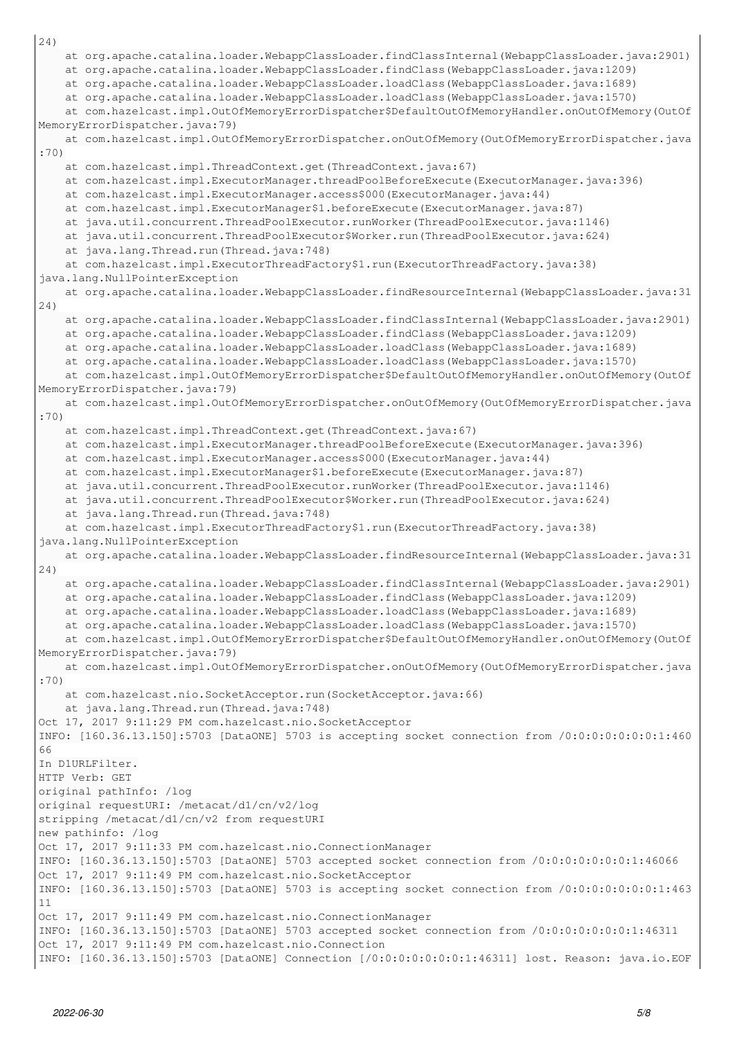```
24)
        at org.apache.catalina.loader.WebappClassLoader.findClassInternal(WebappClassLoader.java:2901)
        at org.apache.catalina.loader.WebappClassLoader.findClass(WebappClassLoader.java:1209)
        at org.apache.catalina.loader.WebappClassLoader.loadClass(WebappClassLoader.java:1689)
        at org.apache.catalina.loader.WebappClassLoader.loadClass(WebappClassLoader.java:1570)
        at com.hazelcast.impl.OutOfMemoryErrorDispatcher$DefaultOutOfMemoryHandler.onOutOfMemory(OutOf
MemoryErrorDispatcher.java:79)
        at com.hazelcast.impl.OutOfMemoryErrorDispatcher.onOutOfMemory(OutOfMemoryErrorDispatcher.java
:70)
        at com.hazelcast.impl.ThreadContext.get(ThreadContext.java:67)
        at com.hazelcast.impl.ExecutorManager.threadPoolBeforeExecute(ExecutorManager.java:396)
        at com.hazelcast.impl.ExecutorManager.access$000(ExecutorManager.java:44)
        at com.hazelcast.impl.ExecutorManager$1.beforeExecute(ExecutorManager.java:87)
        at java.util.concurrent.ThreadPoolExecutor.runWorker(ThreadPoolExecutor.java:1146)
        at java.util.concurrent.ThreadPoolExecutor$Worker.run(ThreadPoolExecutor.java:624)
        at java.lang.Thread.run(Thread.java:748)
        at com.hazelcast.impl.ExecutorThreadFactory$1.run(ExecutorThreadFactory.java:38)
java.lang.NullPointerException
        at org.apache.catalina.loader.WebappClassLoader.findResourceInternal(WebappClassLoader.java:31
24)
        at org.apache.catalina.loader.WebappClassLoader.findClassInternal(WebappClassLoader.java:2901)
        at org.apache.catalina.loader.WebappClassLoader.findClass(WebappClassLoader.java:1209)
        at org.apache.catalina.loader.WebappClassLoader.loadClass(WebappClassLoader.java:1689)
        at org.apache.catalina.loader.WebappClassLoader.loadClass(WebappClassLoader.java:1570)
        at com.hazelcast.impl.OutOfMemoryErrorDispatcher$DefaultOutOfMemoryHandler.onOutOfMemory(OutOf
MemoryErrorDispatcher.java:79)
        at com.hazelcast.impl.OutOfMemoryErrorDispatcher.onOutOfMemory(OutOfMemoryErrorDispatcher.java
:70)
        at com.hazelcast.impl.ThreadContext.get(ThreadContext.java:67)
        at com.hazelcast.impl.ExecutorManager.threadPoolBeforeExecute(ExecutorManager.java:396)
        at com.hazelcast.impl.ExecutorManager.access$000(ExecutorManager.java:44)
        at com.hazelcast.impl.ExecutorManager$1.beforeExecute(ExecutorManager.java:87)
        at java.util.concurrent.ThreadPoolExecutor.runWorker(ThreadPoolExecutor.java:1146)
        at java.util.concurrent.ThreadPoolExecutor$Worker.run(ThreadPoolExecutor.java:624)
        at java.lang.Thread.run(Thread.java:748)
        at com.hazelcast.impl.ExecutorThreadFactory$1.run(ExecutorThreadFactory.java:38)
java.lang.NullPointerException
        at org.apache.catalina.loader.WebappClassLoader.findResourceInternal(WebappClassLoader.java:31
24)
        at org.apache.catalina.loader.WebappClassLoader.findClassInternal(WebappClassLoader.java:2901)
        at org.apache.catalina.loader.WebappClassLoader.findClass(WebappClassLoader.java:1209)
        at org.apache.catalina.loader.WebappClassLoader.loadClass(WebappClassLoader.java:1689)
        at org.apache.catalina.loader.WebappClassLoader.loadClass(WebappClassLoader.java:1570)
        at com.hazelcast.impl.OutOfMemoryErrorDispatcher$DefaultOutOfMemoryHandler.onOutOfMemory(OutOf
MemoryErrorDispatcher.java:79)
        at com.hazelcast.impl.OutOfMemoryErrorDispatcher.onOutOfMemory(OutOfMemoryErrorDispatcher.java
:70)
        at com.hazelcast.nio.SocketAcceptor.run(SocketAcceptor.java:66)
        at java.lang.Thread.run(Thread.java:748)
Oct 17, 2017 9:11:29 PM com.hazelcast.nio.SocketAcceptor
INFO: [160.36.13.150]:5703 [DataONE] 5703 is accepting socket connection from /0:0:0:0:0:0:0:1:460
66
In D1URLFilter.
HTTP Verb: GET
original pathInfo: /log
original requestURI: /metacat/d1/cn/v2/log
stripping /metacat/d1/cn/v2 from requestURI
new pathinfo: /log
Oct 17, 2017 9:11:33 PM com.hazelcast.nio.ConnectionManager
INFO: [160.36.13.150]:5703 [DataONE] 5703 accepted socket connection from /0:0:0:0:0:0:0:1:46066
Oct 17, 2017 9:11:49 PM com.hazelcast.nio.SocketAcceptor
INFO: [160.36.13.150]:5703 [DataONE] 5703 is accepting socket connection from /0:0:0:0:0:0:0:1:463
11
Oct 17, 2017 9:11:49 PM com.hazelcast.nio.ConnectionManager
INFO: [160.36.13.150]:5703 [DataONE] 5703 accepted socket connection from /0:0:0:0:0:0:0:1:46311
Oct 17, 2017 9:11:49 PM com.hazelcast.nio.Connection
INFO: [160.36.13.150]:5703 [DataONE] Connection [/0:0:0:0:0:0:0:1:46311] lost. Reason: java.io.EOF
```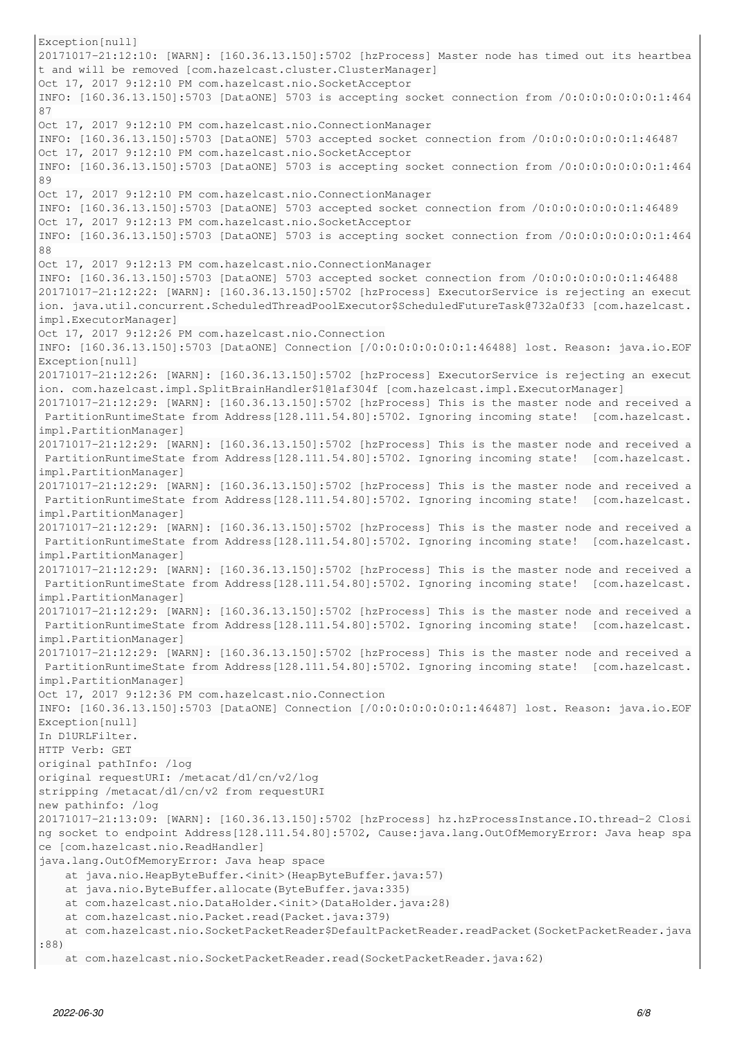Exception[null] 20171017-21:12:10: [WARN]: [160.36.13.150]:5702 [hzProcess] Master node has timed out its heartbea t and will be removed [com.hazelcast.cluster.ClusterManager] Oct 17, 2017 9:12:10 PM com.hazelcast.nio.SocketAcceptor INFO: [160.36.13.150]:5703 [DataONE] 5703 is accepting socket connection from /0:0:0:0:0:0:0:1:464 87 Oct 17, 2017 9:12:10 PM com.hazelcast.nio.ConnectionManager INFO: [160.36.13.150]:5703 [DataONE] 5703 accepted socket connection from /0:0:0:0:0:0:0:1:46487 Oct 17, 2017 9:12:10 PM com.hazelcast.nio.SocketAcceptor INFO: [160.36.13.150]:5703 [DataONE] 5703 is accepting socket connection from /0:0:0:0:0:0:0:1:464 89 Oct 17, 2017 9:12:10 PM com.hazelcast.nio.ConnectionManager INFO: [160.36.13.150]:5703 [DataONE] 5703 accepted socket connection from /0:0:0:0:0:0:0:1:46489 Oct 17, 2017 9:12:13 PM com.hazelcast.nio.SocketAcceptor INFO: [160.36.13.150]:5703 [DataONE] 5703 is accepting socket connection from /0:0:0:0:0:0:0:1:464 88 Oct 17, 2017 9:12:13 PM com.hazelcast.nio.ConnectionManager INFO: [160.36.13.150]:5703 [DataONE] 5703 accepted socket connection from /0:0:0:0:0:0:0:1:46488 20171017-21:12:22: [WARN]: [160.36.13.150]:5702 [hzProcess] ExecutorService is rejecting an execut ion. java.util.concurrent.ScheduledThreadPoolExecutor\$ScheduledFutureTask@732a0f33 [com.hazelcast. impl.ExecutorManager] Oct 17, 2017 9:12:26 PM com.hazelcast.nio.Connection INFO: [160.36.13.150]:5703 [DataONE] Connection [/0:0:0:0:0:0:0:1:46488] lost. Reason: java.io.EOF Exception[null] 20171017-21:12:26: [WARN]: [160.36.13.150]:5702 [hzProcess] ExecutorService is rejecting an execut ion. com.hazelcast.impl.SplitBrainHandler\$1@1af304f [com.hazelcast.impl.ExecutorManager] 20171017-21:12:29: [WARN]: [160.36.13.150]:5702 [hzProcess] This is the master node and received a PartitionRuntimeState from Address[128.111.54.80]:5702. Ignoring incoming state! [com.hazelcast. impl.PartitionManager] 20171017-21:12:29: [WARN]: [160.36.13.150]:5702 [hzProcess] This is the master node and received a PartitionRuntimeState from Address[128.111.54.80]:5702. Ignoring incoming state! [com.hazelcast. impl.PartitionManager] 20171017-21:12:29: [WARN]: [160.36.13.150]:5702 [hzProcess] This is the master node and received a PartitionRuntimeState from Address[128.111.54.80]:5702. Ignoring incoming state! [com.hazelcast. impl.PartitionManager] 20171017-21:12:29: [WARN]: [160.36.13.150]:5702 [hzProcess] This is the master node and received a PartitionRuntimeState from Address[128.111.54.80]:5702. Ignoring incoming state! [com.hazelcast. impl.PartitionManager] 20171017-21:12:29: [WARN]: [160.36.13.150]:5702 [hzProcess] This is the master node and received a PartitionRuntimeState from Address[128.111.54.80]:5702. Ignoring incoming state! [com.hazelcast. impl.PartitionManager] 20171017-21:12:29: [WARN]: [160.36.13.150]:5702 [hzProcess] This is the master node and received a PartitionRuntimeState from Address[128.111.54.80]:5702. Ignoring incoming state! [com.hazelcast. impl.PartitionManager] 20171017-21:12:29: [WARN]: [160.36.13.150]:5702 [hzProcess] This is the master node and received a PartitionRuntimeState from Address[128.111.54.80]:5702. Ignoring incoming state! [com.hazelcast. impl.PartitionManager] Oct 17, 2017 9:12:36 PM com.hazelcast.nio.Connection INFO: [160.36.13.150]:5703 [DataONE] Connection [/0:0:0:0:0:0:0:1:46487] lost. Reason: java.io.EOF Exception[null] In D1URLFilter. HTTP Verb: GET original pathInfo: /log original requestURI: /metacat/d1/cn/v2/log stripping /metacat/d1/cn/v2 from requestURI new pathinfo: /log 20171017-21:13:09: [WARN]: [160.36.13.150]:5702 [hzProcess] hz.hzProcessInstance.IO.thread-2 Closi ng socket to endpoint Address[128.111.54.80]:5702, Cause:java.lang.OutOfMemoryError: Java heap spa ce [com.hazelcast.nio.ReadHandler] java.lang.OutOfMemoryError: Java heap space at java.nio.HeapByteBuffer.<init>(HeapByteBuffer.java:57) at java.nio.ByteBuffer.allocate(ByteBuffer.java:335) at com.hazelcast.nio.DataHolder.<init>(DataHolder.java:28) at com.hazelcast.nio.Packet.read(Packet.java:379) at com.hazelcast.nio.SocketPacketReader\$DefaultPacketReader.readPacket(SocketPacketReader.java :88) at com.hazelcast.nio.SocketPacketReader.read(SocketPacketReader.java:62)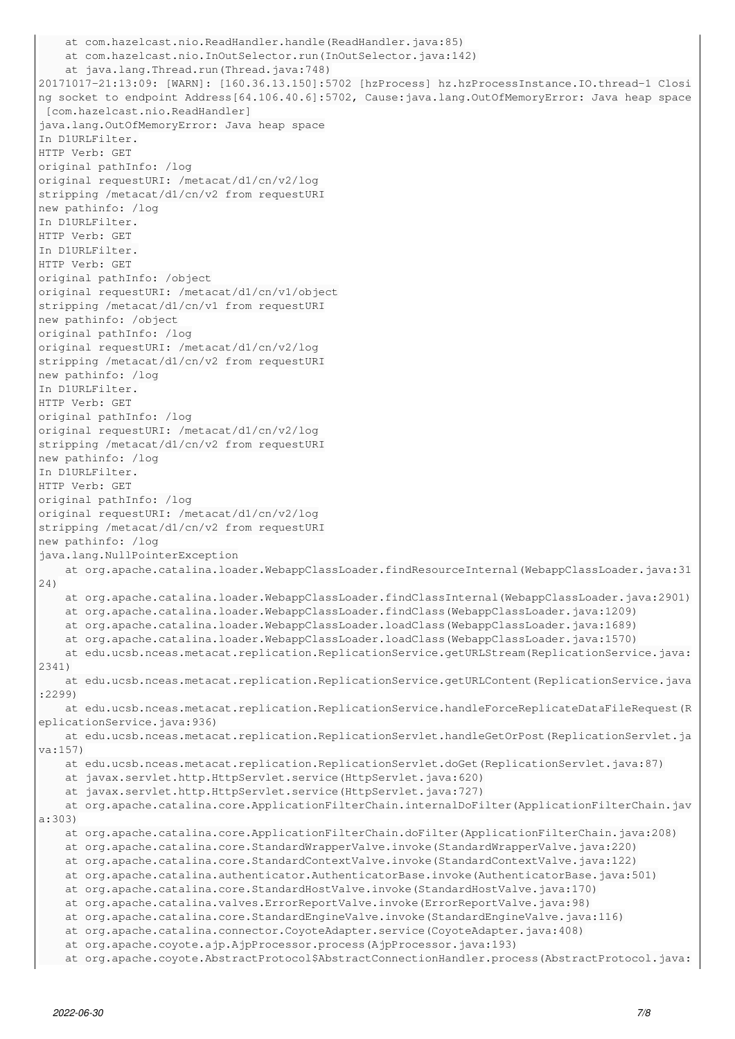```
    at com.hazelcast.nio.ReadHandler.handle(ReadHandler.java:85)
        at com.hazelcast.nio.InOutSelector.run(InOutSelector.java:142)
        at java.lang.Thread.run(Thread.java:748)
20171017-21:13:09: [WARN]: [160.36.13.150]:5702 [hzProcess] hz.hzProcessInstance.IO.thread-1 Closi
ng socket to endpoint Address[64.106.40.6]:5702, Cause:java.lang.OutOfMemoryError: Java heap space
 [com.hazelcast.nio.ReadHandler]
java.lang.OutOfMemoryError: Java heap space
In D1URLFilter.
HTTP Verb: GET
original pathInfo: /log
original requestURI: /metacat/d1/cn/v2/log
stripping /metacat/d1/cn/v2 from requestURI
new pathinfo: /log
In D1URLFilter.
HTTP Verb: GET
In D1URLFilter.
HTTP Verb: GET
original pathInfo: /object
original requestURI: /metacat/d1/cn/v1/object
stripping /metacat/d1/cn/v1 from requestURI
new pathinfo: /object
original pathInfo: /log
original requestURI: /metacat/d1/cn/v2/log
stripping /metacat/d1/cn/v2 from requestURI
new pathinfo: /log
In D1URLFilter.
HTTP Verb: GET
original pathInfo: /log
original requestURI: /metacat/d1/cn/v2/log
stripping /metacat/d1/cn/v2 from requestURI
new pathinfo: /log
In D1URLFilter.
HTTP Verb: GET
original pathInfo: /log
original requestURI: /metacat/d1/cn/v2/log
stripping /metacat/d1/cn/v2 from requestURI
new pathinfo: /log
java.lang.NullPointerException
        at org.apache.catalina.loader.WebappClassLoader.findResourceInternal(WebappClassLoader.java:31
24)
        at org.apache.catalina.loader.WebappClassLoader.findClassInternal(WebappClassLoader.java:2901)
        at org.apache.catalina.loader.WebappClassLoader.findClass(WebappClassLoader.java:1209)
        at org.apache.catalina.loader.WebappClassLoader.loadClass(WebappClassLoader.java:1689)
        at org.apache.catalina.loader.WebappClassLoader.loadClass(WebappClassLoader.java:1570)
        at edu.ucsb.nceas.metacat.replication.ReplicationService.getURLStream(ReplicationService.java:
2341)
        at edu.ucsb.nceas.metacat.replication.ReplicationService.getURLContent(ReplicationService.java
:2299)
        at edu.ucsb.nceas.metacat.replication.ReplicationService.handleForceReplicateDataFileRequest(R
eplicationService.java:936)
        at edu.ucsb.nceas.metacat.replication.ReplicationServlet.handleGetOrPost(ReplicationServlet.ja
va:157)
        at edu.ucsb.nceas.metacat.replication.ReplicationServlet.doGet(ReplicationServlet.java:87)
        at javax.servlet.http.HttpServlet.service(HttpServlet.java:620)
        at javax.servlet.http.HttpServlet.service(HttpServlet.java:727)
        at org.apache.catalina.core.ApplicationFilterChain.internalDoFilter(ApplicationFilterChain.jav
a:303)
        at org.apache.catalina.core.ApplicationFilterChain.doFilter(ApplicationFilterChain.java:208)
        at org.apache.catalina.core.StandardWrapperValve.invoke(StandardWrapperValve.java:220)
        at org.apache.catalina.core.StandardContextValve.invoke(StandardContextValve.java:122)
        at org.apache.catalina.authenticator.AuthenticatorBase.invoke(AuthenticatorBase.java:501)
        at org.apache.catalina.core.StandardHostValve.invoke(StandardHostValve.java:170)
        at org.apache.catalina.valves.ErrorReportValve.invoke(ErrorReportValve.java:98)
        at org.apache.catalina.core.StandardEngineValve.invoke(StandardEngineValve.java:116)
        at org.apache.catalina.connector.CoyoteAdapter.service(CoyoteAdapter.java:408)
        at org.apache.coyote.ajp.AjpProcessor.process(AjpProcessor.java:193)
        at org.apache.coyote.AbstractProtocol$AbstractConnectionHandler.process(AbstractProtocol.java:
```